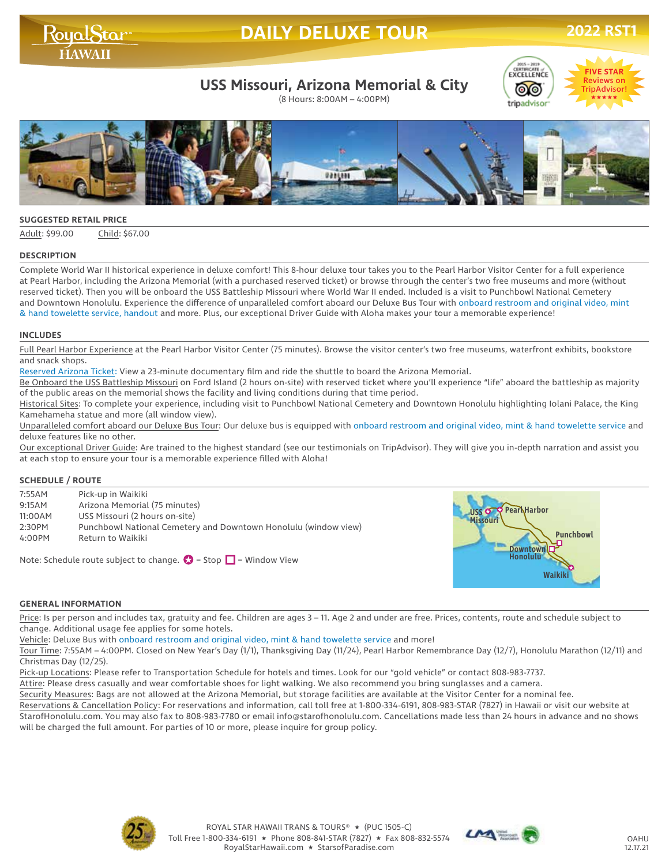# **DAILY DELUXE TOUR 2022 RST**

# RoyalStar

## **USS Missouri, Arizona Memorial & City**

(8 Hours: 8:00AM – 4:00PM)





#### **SUGGESTED RETAIL PRICE**

Adult: \$99.00 Child: \$67.00

#### **DESCRIPTION**

Complete World War II historical experience in deluxe comfort! This 8-hour deluxe tour takes you to the Pearl Harbor Visitor Center for a full experience at Pearl Harbor, including the Arizona Memorial (with a purchased reserved ticket) or browse through the center's two free museums and more (without reserved ticket). Then you will be onboard the USS Battleship Missouri where World War II ended. Included is a visit to Punchbowl National Cemetery and Downtown Honolulu. Experience the difference of unparalleled comfort aboard our Deluxe Bus Tour with onboard restroom and original video, mint & hand towelette service, handout and more. Plus, our exceptional Driver Guide with Aloha makes your tour a memorable experience!

#### **INCLUDES**

Full Pearl Harbor Experience at the Pearl Harbor Visitor Center (75 minutes). Browse the visitor center's two free museums, waterfront exhibits, bookstore and snack shops.

Reserved Arizona Ticket: View a 23-minute documentary film and ride the shuttle to board the Arizona Memorial.

Be Onboard the USS Battleship Missouri on Ford Island (2 hours on-site) with reserved ticket where you'll experience "life" aboard the battleship as majority of the public areas on the memorial shows the facility and living conditions during that time period.

Historical Sites: To complete your experience, including visit to Punchbowl National Cemetery and Downtown Honolulu highlighting Iolani Palace, the King Kamehameha statue and more (all window view).

Unparalleled comfort aboard our Deluxe Bus Tour: Our deluxe bus is equipped with onboard restroom and original video, mint & hand towelette service and deluxe features like no other.

Our exceptional Driver Guide: Are trained to the highest standard (see our testimonials on TripAdvisor). They will give you in-depth narration and assist you at each stop to ensure your tour is a memorable experience filled with Aloha!

#### **SCHEDULE / ROUTE**

| 7:55AM  | Pick-up in Waikiki                                              |
|---------|-----------------------------------------------------------------|
| 9:15AM  | Arizona Memorial (75 minutes)                                   |
| 11:00AM | USS Missouri (2 hours on-site)                                  |
| 2:30PM  | Punchbowl National Cemetery and Downtown Honolulu (window view) |
| 4:00PM  | Return to Waikiki                                               |
|         |                                                                 |

Note: Schedule route subject to change.  $\bullet$  = Stop  $\Box$  = Window View



#### **GENERAL INFORMATION**

Price: Is per person and includes tax, gratuity and fee. Children are ages 3 - 11. Age 2 and under are free. Prices, contents, route and schedule subject to change. Additional usage fee applies for some hotels.

Vehicle: Deluxe Bus with onboard restroom and original video, mint & hand towelette service and more!

Tour Time: 7:55AM – 4:00PM. Closed on New Year's Day (1/1), Thanksgiving Day (11/24), Pearl Harbor Remembrance Day (12/7), Honolulu Marathon (12/11) and Christmas Day (12/25).

Pick-up Locations: Please refer to Transportation Schedule for hotels and times. Look for our "gold vehicle" or contact 808-983-7737.

Attire: Please dress casually and wear comfortable shoes for light walking. We also recommend you bring sunglasses and a camera.

Security Measures: Bags are not allowed at the Arizona Memorial, but storage facilities are available at the Visitor Center for a nominal fee.

Reservations & Cancellation Policy: For reservations and information, call toll free at 1-800-334-6191, 808-983-STAR (7827) in Hawaii or visit our website at StarofHonolulu.com. You may also fax to 808-983-7780 or email info@starofhonolulu.com. Cancellations made less than 24 hours in advance and no shows will be charged the full amount. For parties of 10 or more, please inquire for group policy.